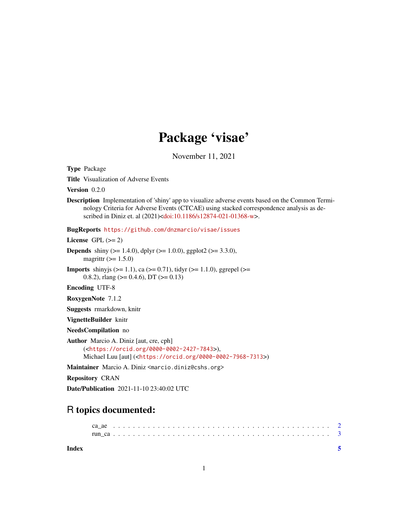## Package 'visae'

November 11, 2021

| <b>Type Package</b>                                                                                                                                                                                                                                                                     |
|-----------------------------------------------------------------------------------------------------------------------------------------------------------------------------------------------------------------------------------------------------------------------------------------|
| Title Visualization of Adverse Events                                                                                                                                                                                                                                                   |
| <b>Version</b> $0.2.0$                                                                                                                                                                                                                                                                  |
| <b>Description</b> Implementation of 'shiny' app to visualize adverse events based on the Common Termi-<br>nology Criteria for Adverse Events (CTCAE) using stacked correspondence analysis as de-<br>scribed in Diniz et. al (2021) <doi:10.1186 s12874-021-01368-w="">.</doi:10.1186> |
| BugReports https://github.com/dnzmarcio/visae/issues                                                                                                                                                                                                                                    |
| License $GPL (= 2)$                                                                                                                                                                                                                                                                     |
| <b>Depends</b> shiny ( $> = 1.4.0$ ), dplyr ( $> = 1.0.0$ ), ggplot2 ( $> = 3.3.0$ ),<br>magrittr $(>= 1.5.0)$                                                                                                                                                                          |
| <b>Imports</b> shiny is $(>= 1.1)$ , ca $(>= 0.71)$ , tidy $(>= 1.1.0)$ , ggrepel $(>= 1.1.0)$<br>0.8.2), rlang ( $> = 0.4.6$ ), DT ( $> = 0.13$ )                                                                                                                                      |
| <b>Encoding UTF-8</b>                                                                                                                                                                                                                                                                   |
| RoxygenNote 7.1.2                                                                                                                                                                                                                                                                       |
| Suggests rmarkdown, knitr                                                                                                                                                                                                                                                               |
| VignetteBuilder knitr                                                                                                                                                                                                                                                                   |
| NeedsCompilation no                                                                                                                                                                                                                                                                     |
| <b>Author</b> Marcio A. Diniz [aut, cre, cph]<br>( <https: 0000-0002-2427-7843="" orcid.org="">),<br/>Michael Luu [aut] (<https: 0000-0002-7968-7313="" orcid.org="">)</https:></https:>                                                                                                |
| Maintainer Marcio A. Diniz <marcio.diniz@cshs.org></marcio.diniz@cshs.org>                                                                                                                                                                                                              |
| <b>Repository CRAN</b>                                                                                                                                                                                                                                                                  |
| <b>Date/Publication</b> 2021-11-10 23:40:02 UTC                                                                                                                                                                                                                                         |

### R topics documented:

**Index** [5](#page-4-0)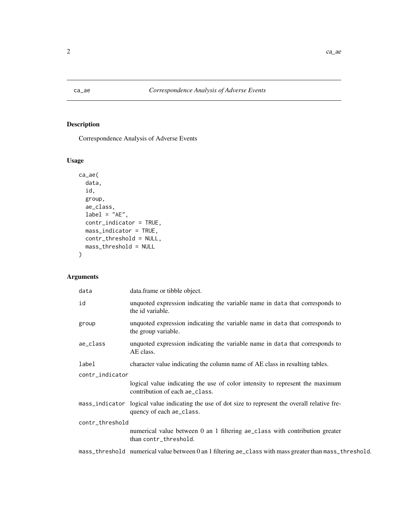<span id="page-1-0"></span>

#### Description

Correspondence Analysis of Adverse Events

#### Usage

```
ca_ae(
  data,
  id,
  group,
  ae_class,
  label = "AE",contr_indicator = TRUE,
  mass_indicator = TRUE,
  contr_threshold = NULL,
  mass_threshold = NULL
)
```
#### Arguments

| data            | data.frame or tibble object.                                                                                    |
|-----------------|-----------------------------------------------------------------------------------------------------------------|
| id              | unquoted expression indicating the variable name in data that corresponds to<br>the id variable.                |
| group           | unquoted expression indicating the variable name in data that corresponds to<br>the group variable.             |
| ae_class        | unquoted expression indicating the variable name in data that corresponds to<br>AE class.                       |
| label           | character value indicating the column name of AE class in resulting tables.                                     |
| contr_indicator |                                                                                                                 |
|                 | logical value indicating the use of color intensity to represent the maximum<br>contribution of each ae_class.  |
| mass_indicator  | logical value indicating the use of dot size to represent the overall relative fre-<br>quency of each ae_class. |
| contr_threshold |                                                                                                                 |
|                 | numerical value between 0 an 1 filtering ae_class with contribution greater<br>than contr_threshold.            |
|                 | mass_threshold numerical value between 0 an 1 filtering ae_class with mass greater than mass_threshold.         |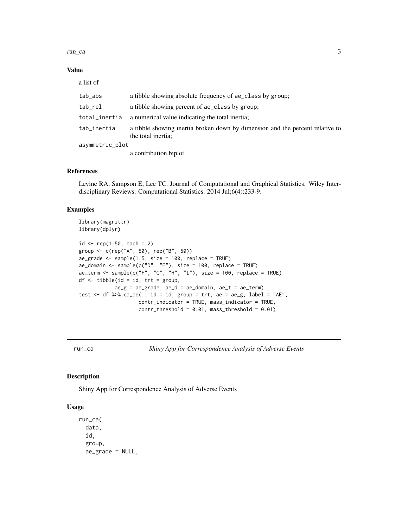#### <span id="page-2-0"></span>run\_ca 3

#### Value

a list of

| tab_abs         | a tibble showing absolute frequency of ae_class by group;                                           |
|-----------------|-----------------------------------------------------------------------------------------------------|
| tab_rel         | a tibble showing percent of ae_class by group;                                                      |
| total_inertia   | a numerical value indicating the total inertia;                                                     |
| tab_inertia     | a tibble showing inertia broken down by dimension and the percent relative to<br>the total inertia; |
| asymmetric_plot |                                                                                                     |
|                 | a contribution biplot.                                                                              |
|                 |                                                                                                     |

#### References

Levine RA, Sampson E, Lee TC. Journal of Computational and Graphical Statistics. Wiley Interdisciplinary Reviews: Computational Statistics. 2014 Jul;6(4):233-9.

#### Examples

```
library(magrittr)
library(dplyr)
id \leq rep(1:50, each = 2)group <- c(rep("A", 50), rep("B", 50))
ae\_grade \leq - sample(1:5, size = 100, replace = TRUE)ae_domain <- sample(c("D", "E"), size = 100, replace = TRUE)
ae_{\text{term}} < - sample(c("F", "G", "H", "I"), size = 100, replace = TRUE)
df \leftarrow tibble(id = id, trt = group,ae_g = ae_g rade, ae_d = ae_d omain, ae_t = ae_t term)
test <- df %>% ca_ae(., id = id, group = trt, ae = ae_g, label = "AE",
                     contr_indicator = TRUE, mass_indicator = TRUE,
                     contr_{threshold} = 0.01, mass_threshold = 0.01)
```
run\_ca *Shiny App for Correspondence Analysis of Adverse Events*

#### Description

Shiny App for Correspondence Analysis of Adverse Events

#### Usage

```
run_ca(
  data,
  id,
  group,
  ae_grade = NULL,
```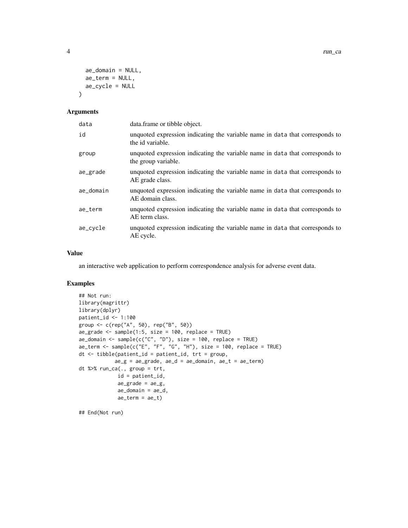```
ae_domain = NULL,
 ae_term = NULL,
  ae_cycle = NULL
\lambda
```
#### Arguments

| data      | data.frame or tibble object.                                                                        |
|-----------|-----------------------------------------------------------------------------------------------------|
| id        | unquoted expression indicating the variable name in data that corresponds to<br>the id variable.    |
| group     | unquoted expression indicating the variable name in data that corresponds to<br>the group variable. |
| ae_grade  | unquoted expression indicating the variable name in data that corresponds to<br>AE grade class.     |
| ae_domain | unquoted expression indicating the variable name in data that corresponds to<br>AE domain class.    |
| ae_term   | unquoted expression indicating the variable name in data that corresponds to<br>AE term class.      |
| ae_cycle  | unquoted expression indicating the variable name in data that corresponds to<br>AE cycle.           |

#### Value

an interactive web application to perform correspondence analysis for adverse event data.

#### Examples

```
## Not run:
library(magrittr)
library(dplyr)
patient_id <- 1:100
group <- c(rep("A", 50), rep("B", 50))
ae\_grade < - sample(1:5, size = 100, replace = TRUE)ae\_domain \leftarrow sample(c("C", "D"), size = 100, replace = TRUE)
ae_tterm <- sample(c("E", "F", "G", "H"), size = 100, replace = TRUE)
dt <- tibble(patient_id = patient_id, trt = group,
            ae_g = ae_g rade, ae_d = ae_d omain, ae_t = ae_t term)
dt %>% run_ca(., group = trt,
             id = patient_id,
             ae\_grade = ae\_g,
             ae\_domain = ae\_d,
             ae_{t}erm = ae_{t})
```
## End(Not run)